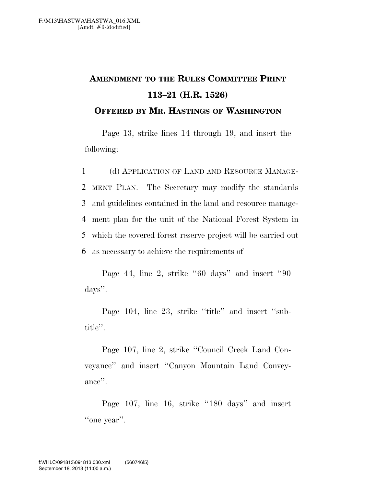## **AMENDMENT TO THE RULES COMMITTEE PRINT 113–21 (H.R. 1526)**

**OFFERED BY MR. HASTINGS OF WASHINGTON**

Page 13, strike lines 14 through 19, and insert the following:

 (d) APPLICATION OF LAND AND RESOURCE MANAGE- MENT PLAN.—The Secretary may modify the standards and guidelines contained in the land and resource manage- ment plan for the unit of the National Forest System in which the covered forest reserve project will be carried out as necessary to achieve the requirements of

Page 44, line 2, strike ''60 days'' and insert ''90 days''.

Page 104, line 23, strike "title" and insert "subtitle''.

Page 107, line 2, strike ''Council Creek Land Conveyance'' and insert ''Canyon Mountain Land Conveyance''.

Page 107, line 16, strike "180 days" and insert "one year".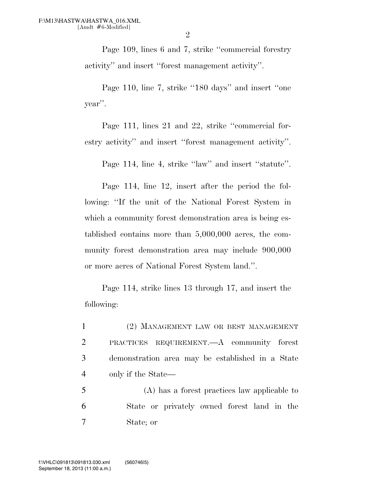Page 109, lines 6 and 7, strike ''commercial forestry activity'' and insert ''forest management activity''.

Page 110, line 7, strike "180 days" and insert "one year''.

Page 111, lines 21 and 22, strike ''commercial forestry activity'' and insert ''forest management activity''.

Page 114, line 4, strike "law" and insert "statute".

Page 114, line 12, insert after the period the following: ''If the unit of the National Forest System in which a community forest demonstration area is being established contains more than 5,000,000 acres, the community forest demonstration area may include 900,000 or more acres of National Forest System land.''.

Page 114, strike lines 13 through 17, and insert the following:

 (2) MANAGEMENT LAW OR BEST MANAGEMENT PRACTICES REQUIREMENT.—A community forest demonstration area may be established in a State only if the State—

5 (A) has a forest practices law applicable to 6 State or privately owned forest land in the 7 State; or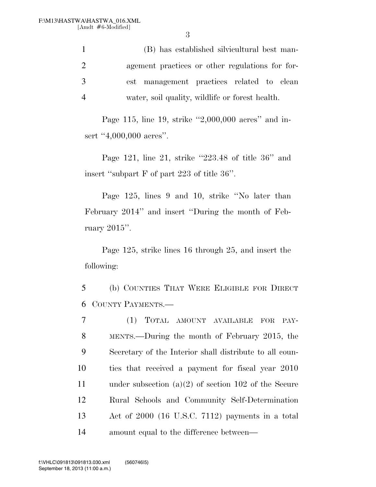(B) has established silvicultural best man- agement practices or other regulations for for- est management practices related to clean water, soil quality, wildlife or forest health.

Page 115, line 19, strike ''2,000,000 acres'' and insert "4,000,000 acres".

Page 121, line 21, strike ''223.48 of title 36'' and insert ''subpart F of part 223 of title 36''.

Page 125, lines 9 and 10, strike ''No later than February 2014'' and insert ''During the month of February 2015''.

Page 125, strike lines 16 through 25, and insert the following:

5 (b) COUNTIES THAT WERE ELIGIBLE FOR DIRECT 6 COUNTY PAYMENTS.—

 (1) TOTAL AMOUNT AVAILABLE FOR PAY- MENTS.—During the month of February 2015, the Secretary of the Interior shall distribute to all coun- ties that received a payment for fiscal year 2010 under subsection (a)(2) of section 102 of the Secure Rural Schools and Community Self-Determination Act of 2000 (16 U.S.C. 7112) payments in a total amount equal to the difference between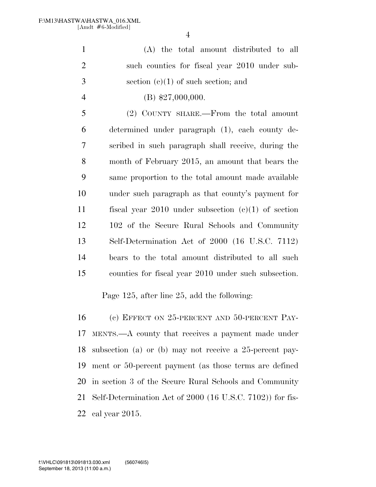(A) the total amount distributed to all such counties for fiscal year 2010 under sub- section (c)(1) of such section; and 4 (B)  $$27,000,000$ .

 (2) COUNTY SHARE.—From the total amount determined under paragraph (1), each county de- scribed in such paragraph shall receive, during the month of February 2015, an amount that bears the same proportion to the total amount made available under such paragraph as that county's payment for fiscal year 2010 under subsection (c)(1) of section 102 of the Secure Rural Schools and Community Self-Determination Act of 2000 (16 U.S.C. 7112) bears to the total amount distributed to all such counties for fiscal year 2010 under such subsection.

Page 125, after line 25, add the following:

16 (c) EFFECT ON 25-PERCENT AND 50-PERCENT PAY- MENTS.—A county that receives a payment made under subsection (a) or (b) may not receive a 25-percent pay- ment or 50-percent payment (as those terms are defined in section 3 of the Secure Rural Schools and Community Self-Determination Act of 2000 (16 U.S.C. 7102)) for fis-cal year 2015.